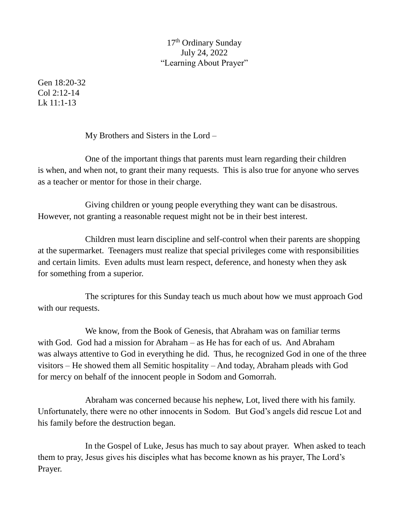## 17th Ordinary Sunday July 24, 2022 "Learning About Prayer"

Gen 18:20-32 Col 2:12-14 Lk 11:1-13

My Brothers and Sisters in the Lord –

One of the important things that parents must learn regarding their children is when, and when not, to grant their many requests. This is also true for anyone who serves as a teacher or mentor for those in their charge.

Giving children or young people everything they want can be disastrous. However, not granting a reasonable request might not be in their best interest.

Children must learn discipline and self-control when their parents are shopping at the supermarket. Teenagers must realize that special privileges come with responsibilities and certain limits. Even adults must learn respect, deference, and honesty when they ask for something from a superior.

The scriptures for this Sunday teach us much about how we must approach God with our requests.

We know, from the Book of Genesis, that Abraham was on familiar terms with God. God had a mission for Abraham – as He has for each of us. And Abraham was always attentive to God in everything he did. Thus, he recognized God in one of the three visitors – He showed them all Semitic hospitality – And today, Abraham pleads with God for mercy on behalf of the innocent people in Sodom and Gomorrah.

Abraham was concerned because his nephew, Lot, lived there with his family. Unfortunately, there were no other innocents in Sodom. But God's angels did rescue Lot and his family before the destruction began.

In the Gospel of Luke, Jesus has much to say about prayer. When asked to teach them to pray, Jesus gives his disciples what has become known as his prayer, The Lord's Prayer.